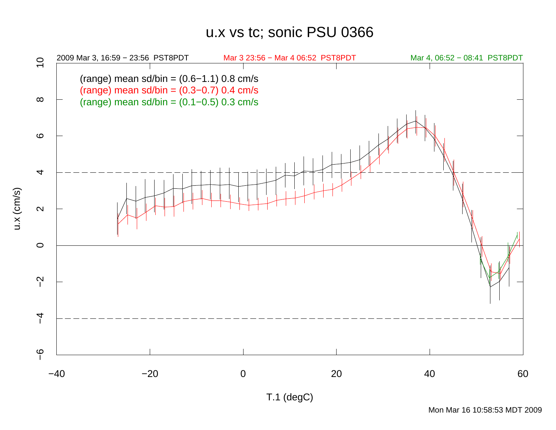## u.x vs tc; sonic PSU 0366



u.x (cm/s)

T.1 (degC)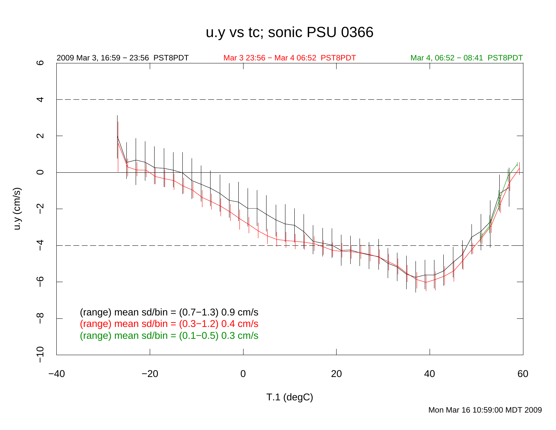## u.y vs tc; sonic PSU 0366



Mon Mar 16 10:59:00 MDT 2009